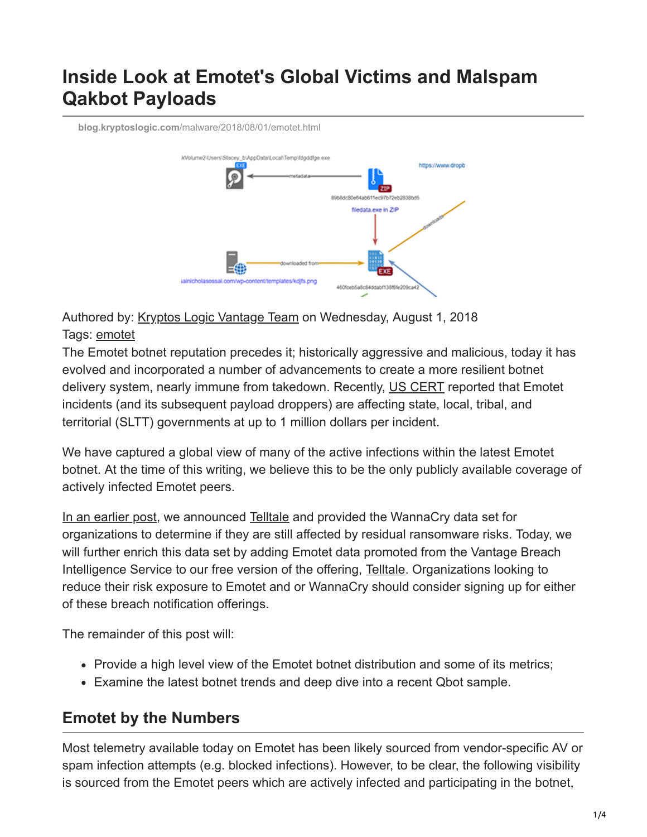# **Inside Look at Emotet's Global Victims and Malspam Qakbot Payloads**

**blog.kryptoslogic.com**[/malware/2018/08/01/emotet.html](https://blog.kryptoslogic.com/malware/2018/08/01/emotet.html)



Authored by: [Kryptos Logic Vantage Team](https://twitter.com/kryptoslogic) on Wednesday, August 1, 2018 Tags: [emotet](https://www.kryptoslogic.com/blog/tag/emotet)

The Emotet botnet reputation precedes it; historically aggressive and malicious, today it has evolved and incorporated a number of advancements to create a more resilient botnet delivery system, nearly immune from takedown. Recently, [US CERT](https://www.us-cert.gov/ncas/alerts/TA18-201A) reported that Emotet incidents (and its subsequent payload droppers) are affecting state, local, tribal, and territorial (SLTT) governments at up to 1 million dollars per incident.

We have captured a global view of many of the active infections within the latest Emotet botnet. At the time of this writing, we believe this to be the only publicly available coverage of actively infected Emotet peers.

[In an earlier post](https://blog.kryptoslogic.com/malware/2018/04/09/wannacry-post.html), we announced [Telltale](https://telltale.kryptoslogic.com/) and provided the WannaCry data set for organizations to determine if they are still affected by residual ransomware risks. Today, we will further enrich this data set by adding Emotet data promoted from the Vantage Breach Intelligence Service to our free version of the offering, [Telltale](https://telltale.kryptoslogic.com/). Organizations looking to reduce their risk exposure to Emotet and or WannaCry should consider signing up for either of these breach notification offerings.

The remainder of this post will:

- Provide a high level view of the Emotet botnet distribution and some of its metrics;
- Examine the latest botnet trends and deep dive into a recent Qbot sample.

# **Emotet by the Numbers**

Most telemetry available today on Emotet has been likely sourced from vendor-specific AV or spam infection attempts (e.g. blocked infections). However, to be clear, the following visibility is sourced from the Emotet peers which are actively infected and participating in the botnet,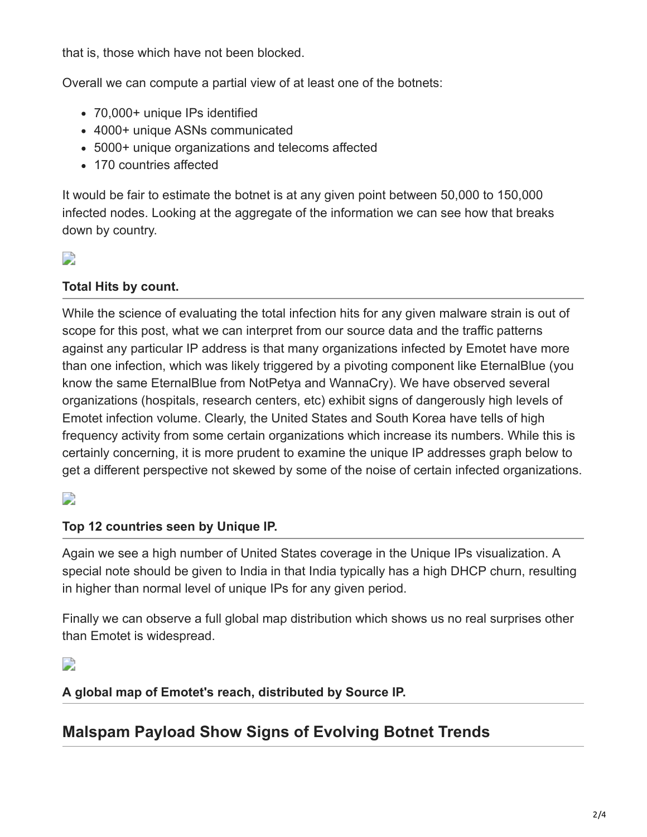that is, those which have not been blocked.

Overall we can compute a partial view of at least one of the botnets:

- 70,000+ unique IPs identified
- 4000+ unique ASNs communicated
- 5000+ unique organizations and telecoms affected
- 170 countries affected

It would be fair to estimate the botnet is at any given point between 50,000 to 150,000 infected nodes. Looking at the aggregate of the information we can see how that breaks down by country.

## D

#### **Total Hits by count.**

While the science of evaluating the total infection hits for any given malware strain is out of scope for this post, what we can interpret from our source data and the traffic patterns against any particular IP address is that many organizations infected by Emotet have more than one infection, which was likely triggered by a pivoting component like EternalBlue (you know the same EternalBlue from NotPetya and WannaCry). We have observed several organizations (hospitals, research centers, etc) exhibit signs of dangerously high levels of Emotet infection volume. Clearly, the United States and South Korea have tells of high frequency activity from some certain organizations which increase its numbers. While this is certainly concerning, it is more prudent to examine the unique IP addresses graph below to get a different perspective not skewed by some of the noise of certain infected organizations.

### D

#### **Top 12 countries seen by Unique IP.**

Again we see a high number of United States coverage in the Unique IPs visualization. A special note should be given to India in that India typically has a high DHCP churn, resulting in higher than normal level of unique IPs for any given period.

Finally we can observe a full global map distribution which shows us no real surprises other than Emotet is widespread.

### D

#### **A global map of Emotet's reach, distributed by Source IP.**

## **Malspam Payload Show Signs of Evolving Botnet Trends**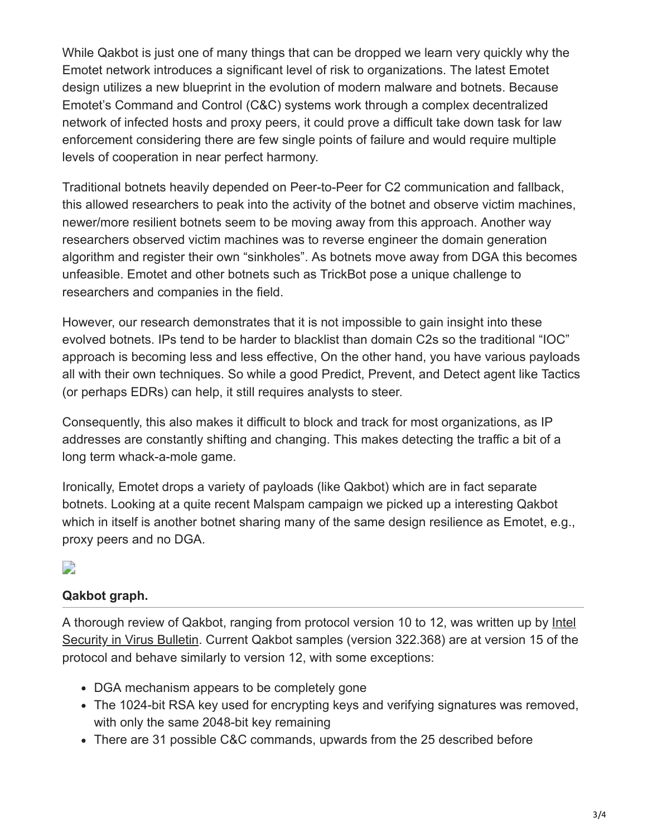While Qakbot is just one of many things that can be dropped we learn very quickly why the Emotet network introduces a significant level of risk to organizations. The latest Emotet design utilizes a new blueprint in the evolution of modern malware and botnets. Because Emotet's Command and Control (C&C) systems work through a complex decentralized network of infected hosts and proxy peers, it could prove a difficult take down task for law enforcement considering there are few single points of failure and would require multiple levels of cooperation in near perfect harmony.

Traditional botnets heavily depended on Peer-to-Peer for C2 communication and fallback, this allowed researchers to peak into the activity of the botnet and observe victim machines, newer/more resilient botnets seem to be moving away from this approach. Another way researchers observed victim machines was to reverse engineer the domain generation algorithm and register their own "sinkholes". As botnets move away from DGA this becomes unfeasible. Emotet and other botnets such as TrickBot pose a unique challenge to researchers and companies in the field.

However, our research demonstrates that it is not impossible to gain insight into these evolved botnets. IPs tend to be harder to blacklist than domain C2s so the traditional "IOC" approach is becoming less and less effective, On the other hand, you have various payloads all with their own techniques. So while a good Predict, Prevent, and Detect agent like Tactics (or perhaps EDRs) can help, it still requires analysts to steer.

Consequently, this also makes it difficult to block and track for most organizations, as IP addresses are constantly shifting and changing. This makes detecting the traffic a bit of a long term whack-a-mole game.

Ironically, Emotet drops a variety of payloads (like Qakbot) which are in fact separate botnets. Looking at a quite recent Malspam campaign we picked up a interesting Qakbot which in itself is another botnet sharing many of the same design resilience as Emotet, e.g., proxy peers and no DGA.

## D

## **Qakbot graph.**

[A thorough review of Qakbot, ranging from protocol version 10 to 12, was written up by Intel](https://www.virusbulletin.com/uploads/pdf/magazine/2016/VB2016-Karve-etal.pdf) Security in Virus Bulletin. Current Qakbot samples (version 322.368) are at version 15 of the protocol and behave similarly to version 12, with some exceptions:

- DGA mechanism appears to be completely gone
- The 1024-bit RSA key used for encrypting keys and verifying signatures was removed, with only the same 2048-bit key remaining
- There are 31 possible C&C commands, upwards from the 25 described before